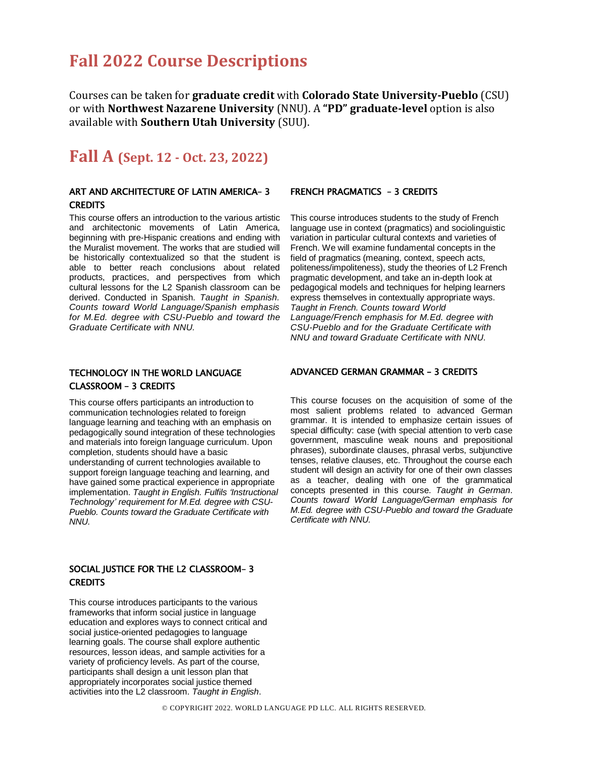# **Fall 2022 Course Descriptions**

Courses can be taken for **graduate credit** with **Colorado State University-Pueblo** (CSU) or with **Northwest Nazarene University** (NNU). A **"PD" graduate-level** option is also available with **Southern Utah University** (SUU).

## **Fall A (Sept. 12 - Oct. 23, 2022)**

## ART AND ARCHITECTURE OF LATIN AMERICA– 3 **CREDITS**

This course offers an introduction to the various artistic and architectonic movements of Latin America, beginning with pre-Hispanic creations and ending with the Muralist movement. The works that are studied will be historically contextualized so that the student is able to better reach conclusions about related products, practices, and perspectives from which cultural lessons for the L2 Spanish classroom can be derived. Conducted in Spanish. *Taught in Spanish. Counts toward World Language/Spanish emphasis for M.Ed. degree with CSU-Pueblo and toward the Graduate Certificate with NNU.*

### FRENCH PRAGMATICS – 3 CREDITS

This course introduces students to the study of French language use in context (pragmatics) and sociolinguistic variation in particular cultural contexts and varieties of French. We will examine fundamental concepts in the field of pragmatics (meaning, context, speech acts, politeness/impoliteness), study the theories of L2 French pragmatic development, and take an in-depth look at pedagogical models and techniques for helping learners express themselves in contextually appropriate ways. *Taught in French. Counts toward World Language/French emphasis for M.Ed. degree with CSU-Pueblo and for the Graduate Certificate with NNU and toward Graduate Certificate with NNU.*

## TECHNOLOGY IN THE WORLD LANGUAGE CLASSROOM – 3 CREDITS

This course offers participants an introduction to communication technologies related to foreign language learning and teaching with an emphasis on pedagogically sound integration of these technologies and materials into foreign language curriculum. Upon completion, students should have a basic understanding of current technologies available to support foreign language teaching and learning, and have gained some practical experience in appropriate implementation. *Taught in English. Fulfils 'Instructional Technology' requirement for M.Ed. degree with CSU-Pueblo. Counts toward the Graduate Certificate with NNU.*

### SOCIAL JUSTICE FOR THE L2 CLASSROOM– 3 **CREDITS**

This course introduces participants to the various frameworks that inform social justice in language education and explores ways to connect critical and social justice-oriented pedagogies to language learning goals. The course shall explore authentic resources, lesson ideas, and sample activities for a variety of proficiency levels. As part of the course, participants shall design a unit lesson plan that appropriately incorporates social justice themed activities into the L2 classroom. *Taught in English*.

### ADVANCED GERMAN GRAMMAR – 3 CREDITS

This course focuses on the acquisition of some of the most salient problems related to advanced German grammar. It is intended to emphasize certain issues of special difficulty: case (with special attention to verb case government, masculine weak nouns and prepositional phrases), subordinate clauses, phrasal verbs, subjunctive tenses, relative clauses, etc. Throughout the course each student will design an activity for one of their own classes as a teacher, dealing with one of the grammatical concepts presented in this course. *Taught in German*. *Counts toward World Language/German emphasis for M.Ed. degree with CSU-Pueblo and toward the Graduate Certificate with NNU.*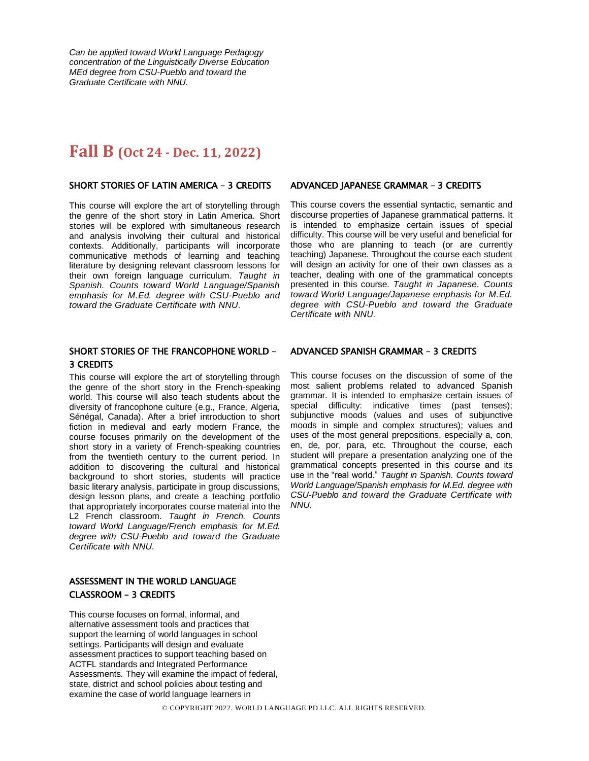*Can be applied toward World Language Pedagogy concentration of the Linguistically Diverse Education MEd degree from CSU-Pueblo and toward the Graduate Certificate with NNU.*

## **Fall B (Oct 24 - Dec. 11, 2022)**

### SHORT STORIES OF LATIN AMERICA – 3 CREDITS

This course will explore the art of storytelling through the genre of the short story in Latin America. Short stories will be explored with simultaneous research and analysis involving their cultural and historical contexts. Additionally, participants will incorporate communicative methods of learning and teaching literature by designing relevant classroom lessons for their own foreign language curriculum. *Taught in Spanish. Counts toward World Language/Spanish emphasis for M.Ed. degree with CSU-Pueblo and toward the Graduate Certificate with NNU.*

### SHORT STORIES OF THE FRANCOPHONE WORLD – 3 CREDITS

This course will explore the art of storytelling through the genre of the short story in the French-speaking world. This course will also teach students about the diversity of francophone culture (e.g., France, Algeria, Sénégal, Canada). After a brief introduction to short fiction in medieval and early modern France, the course focuses primarily on the development of the short story in a variety of French-speaking countries from the twentieth century to the current period. In addition to discovering the cultural and historical background to short stories, students will practice basic literary analysis, participate in group discussions, design lesson plans, and create a teaching portfolio that appropriately incorporates course material into the L2 French classroom. *Taught in French. Counts toward World Language/French emphasis for M.Ed. degree with CSU-Pueblo and toward the Graduate Certificate with NNU.*

## ASSESSMENT IN THE WORLD LANGUAGE CLASSROOM – 3 CREDITS

This course focuses on formal, informal, and alternative assessment tools and practices that support the learning of world languages in school settings. Participants will design and evaluate assessment practices to support teaching based on ACTFL standards and Integrated Performance Assessments. They will examine the impact of federal, state, district and school policies about testing and examine the case of world language learners in

#### ADVANCED JAPANESE GRAMMAR – 3 CREDITS

This course covers the essential syntactic, semantic and discourse properties of Japanese grammatical patterns. It is intended to emphasize certain issues of special difficulty. This course will be very useful and beneficial for those who are planning to teach (or are currently teaching) Japanese. Throughout the course each student will design an activity for one of their own classes as a teacher, dealing with one of the grammatical concepts presented in this course. *Taught in Japanese. Counts toward World Language/Japanese emphasis for M.Ed. degree with CSU-Pueblo and toward the Graduate Certificate with NNU.*

#### ADVANCED SPANISH GRAMMAR – 3 CREDITS

This course focuses on the discussion of some of the most salient problems related to advanced Spanish grammar. It is intended to emphasize certain issues of special difficulty: indicative times (past tenses); subjunctive moods (values and uses of subjunctive moods in simple and complex structures); values and uses of the most general prepositions, especially a, con, en, de, por, para, etc. Throughout the course, each student will prepare a presentation analyzing one of the grammatical concepts presented in this course and its use in the "real world." *Taught in Spanish. Counts toward World Language/Spanish emphasis for M.Ed. degree with CSU-Pueblo and toward the Graduate Certificate with NNU.*